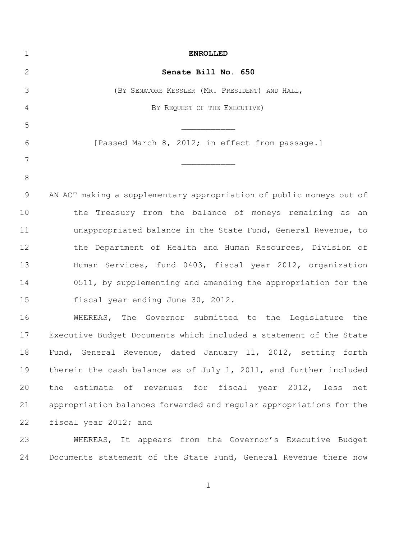| 1            | <b>ENROLLED</b>                                                     |
|--------------|---------------------------------------------------------------------|
| $\mathbf{2}$ | Senate Bill No. 650                                                 |
| 3            | (BY SENATORS KESSLER (MR. PRESIDENT) AND HALL,                      |
| 4            | BY REQUEST OF THE EXECUTIVE)                                        |
| 5            |                                                                     |
| 6            | [Passed March 8, 2012; in effect from passage.]                     |
| 7            |                                                                     |
| $8\,$        |                                                                     |
| $\mathsf 9$  | AN ACT making a supplementary appropriation of public moneys out of |
| 10           | the Treasury from the balance of moneys remaining as an             |
| 11           | unappropriated balance in the State Fund, General Revenue, to       |
| 12           | the Department of Health and Human Resources, Division of           |
| 13           | Human Services, fund 0403, fiscal year 2012, organization           |
| 14           | 0511, by supplementing and amending the appropriation for the       |
| 15           | fiscal year ending June 30, 2012.                                   |
| 16           | WHEREAS, The Governor submitted to the Legislature the              |
| 17           | Executive Budget Documents which included a statement of the State  |
| 18           | Fund, General Revenue, dated January 11, 2012, setting forth        |
| 19           | therein the cash balance as of July 1, 2011, and further included   |
| 20           | the estimate of revenues for fiscal year 2012, less net             |
| 21           | appropriation balances forwarded and regular appropriations for the |
| 22           | fiscal year 2012; and                                               |
| 23           | WHEREAS, It appears from the Governor's Executive Budget            |
| 24           | Documents statement of the State Fund, General Revenue there now    |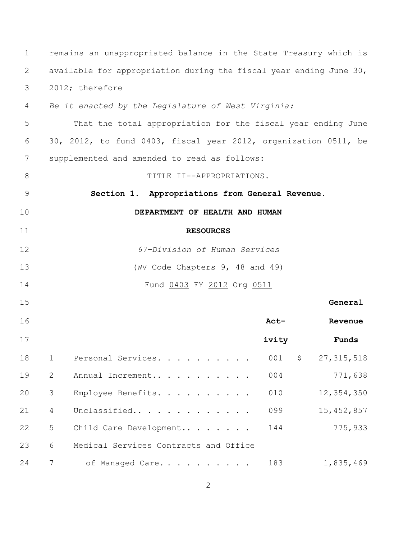| $\mathbf 1$ |                                                                    | remains an unappropriated balance in the State Treasury which is |       |    |              |
|-------------|--------------------------------------------------------------------|------------------------------------------------------------------|-------|----|--------------|
| 2           | available for appropriation during the fiscal year ending June 30, |                                                                  |       |    |              |
| 3           | 2012; therefore                                                    |                                                                  |       |    |              |
| 4           | Be it enacted by the Legislature of West Virginia:                 |                                                                  |       |    |              |
| 5           | That the total appropriation for the fiscal year ending June       |                                                                  |       |    |              |
| 6           | 30, 2012, to fund 0403, fiscal year 2012, organization 0511, be    |                                                                  |       |    |              |
| 7           |                                                                    | supplemented and amended to read as follows:                     |       |    |              |
| 8           |                                                                    | TITLE II--APPROPRIATIONS.                                        |       |    |              |
| $\mathsf 9$ |                                                                    | Section 1. Appropriations from General Revenue.                  |       |    |              |
| 10          |                                                                    | DEPARTMENT OF HEALTH AND HUMAN                                   |       |    |              |
| 11          |                                                                    | <b>RESOURCES</b>                                                 |       |    |              |
| 12          | 67-Division of Human Services                                      |                                                                  |       |    |              |
| 13          | (WV Code Chapters 9, 48 and 49)                                    |                                                                  |       |    |              |
| 14          |                                                                    | Fund 0403 FY 2012 Org 0511                                       |       |    |              |
| 15          |                                                                    |                                                                  |       |    | General      |
| 16          |                                                                    |                                                                  | Act-  |    | Revenue      |
| 17          |                                                                    |                                                                  | ivity |    | Funds        |
| 18          | $\mathbf 1$                                                        | Personal Services.                                               | 001   | \$ | 27, 315, 518 |
| 19          | 2                                                                  | Annual Increment                                                 | 004   |    | 771,638      |
| 20          | 3                                                                  | Employee Benefits.                                               | 010   |    | 12,354,350   |
| 21          | 4                                                                  | Unclassified                                                     | 099   |    | 15, 452, 857 |
| 22          | 5                                                                  | Child Care Development                                           | 144   |    | 775,933      |
| 23          | 6                                                                  | Medical Services Contracts and Office                            |       |    |              |
| 24          | 7                                                                  | of Managed Care                                                  | 183   |    | 1,835,469    |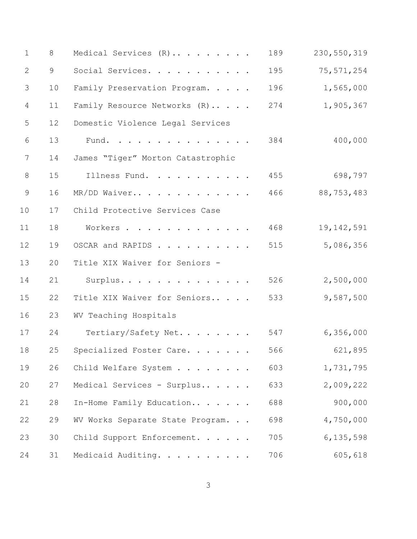| $\mathbf 1$    | 8  | Medical Services (R)              | 189 | 230, 550, 319 |
|----------------|----|-----------------------------------|-----|---------------|
| 2              | 9  | Social Services.                  | 195 | 75, 571, 254  |
| 3              | 10 | Family Preservation Program.      | 196 | 1,565,000     |
| $\overline{4}$ | 11 | Family Resource Networks (R)      | 274 | 1,905,367     |
| 5              | 12 | Domestic Violence Legal Services  |     |               |
| $\sqrt{6}$     | 13 | Fund.                             | 384 | 400,000       |
| 7              | 14 | James "Tiger" Morton Catastrophic |     |               |
| 8              | 15 | Illness Fund.                     | 455 | 698,797       |
| $\overline{9}$ | 16 | MR/DD Waiver                      | 466 | 88,753,483    |
| 10             | 17 | Child Protective Services Case    |     |               |
| 11             | 18 | Workers                           | 468 | 19, 142, 591  |
| 12             | 19 | OSCAR and RAPIDS                  | 515 | 5,086,356     |
| 13             | 20 | Title XIX Waiver for Seniors -    |     |               |
| 14             | 21 | Surplus.                          | 526 | 2,500,000     |
| 15             | 22 | Title XIX Waiver for Seniors      | 533 | 9,587,500     |
| 16             | 23 | WV Teaching Hospitals             |     |               |
| 17             | 24 | Tertiary/Safety Net               | 547 | 6,356,000     |
| 18             | 25 | Specialized Foster Care.          | 566 | 621,895       |
| 19             | 26 | Child Welfare System              | 603 | 1,731,795     |
| 20             | 27 | Medical Services - Surplus        | 633 | 2,009,222     |
| 21             | 28 | In-Home Family Education          | 688 | 900,000       |
| 22             | 29 | WV Works Separate State Program.  | 698 | 4,750,000     |
| 23             | 30 | Child Support Enforcement.        | 705 | 6,135,598     |
| 24             | 31 | Medicaid Auditing.                | 706 | 605,618       |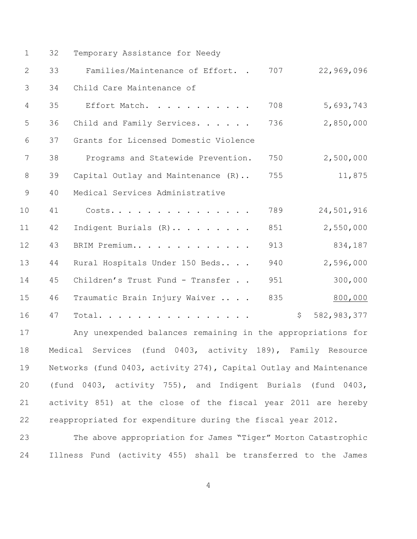| $\mathbf 1$    | 32 | Temporary Assistance for Needy                                                              |     |                   |
|----------------|----|---------------------------------------------------------------------------------------------|-----|-------------------|
| 2              | 33 | Families/Maintenance of Effort. .                                                           | 707 | 22,969,096        |
| 3              | 34 | Child Care Maintenance of                                                                   |     |                   |
| $\overline{4}$ | 35 | Effort Match.                                                                               | 708 | 5,693,743         |
| 5              | 36 | Child and Family Services.                                                                  | 736 | 2,850,000         |
| 6              | 37 | Grants for Licensed Domestic Violence                                                       |     |                   |
| $7\phantom{.}$ | 38 | Programs and Statewide Prevention.                                                          | 750 | 2,500,000         |
| 8              | 39 | Capital Outlay and Maintenance (R)                                                          | 755 | 11,875            |
| $\overline{9}$ | 40 | Medical Services Administrative                                                             |     |                   |
| 10             | 41 | Costs.                                                                                      | 789 | 24,501,916        |
| 11             | 42 | Indigent Burials (R)                                                                        | 851 | 2,550,000         |
| 12             | 43 | BRIM Premium                                                                                | 913 | 834,187           |
| 13             | 44 | Rural Hospitals Under 150 Beds                                                              | 940 | 2,596,000         |
| 14             | 45 | Children's Trust Fund - Transfer                                                            | 951 | 300,000           |
| 15             | 46 | Traumatic Brain Injury Waiver                                                               | 835 | 800,000           |
| 16             | 47 | Total.                                                                                      |     | \$<br>582,983,377 |
| 7 <sub>7</sub> |    | which considers the time to the second complete that the second consideration of the second |     |                   |

 Any unexpended balances remaining in the appropriations for Medical Services (fund 0403, activity 189), Family Resource Networks (fund 0403, activity 274), Capital Outlay and Maintenance (fund 0403, activity 755), and Indigent Burials (fund 0403, activity 851) at the close of the fiscal year 2011 are hereby reappropriated for expenditure during the fiscal year 2012.

 The above appropriation for James "Tiger" Morton Catastrophic Illness Fund (activity 455) shall be transferred to the James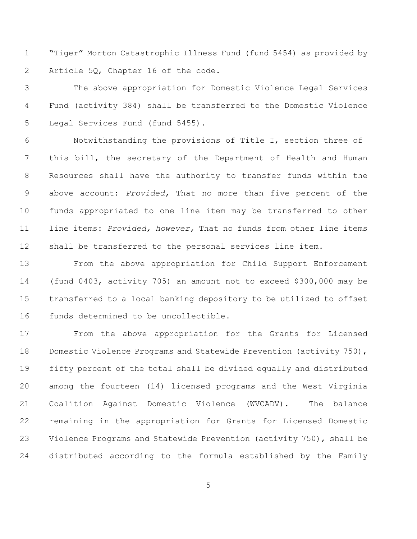"Tiger" Morton Catastrophic Illness Fund (fund 5454) as provided by Article 5Q, Chapter 16 of the code.

 The above appropriation for Domestic Violence Legal Services Fund (activity 384) shall be transferred to the Domestic Violence Legal Services Fund (fund 5455).

 Notwithstanding the provisions of Title I, section three of this bill, the secretary of the Department of Health and Human Resources shall have the authority to transfer funds within the above account: *Provided,* That no more than five percent of the funds appropriated to one line item may be transferred to other line items: *Provided, however,* That no funds from other line items shall be transferred to the personal services line item.

 From the above appropriation for Child Support Enforcement (fund 0403, activity 705) an amount not to exceed \$300,000 may be transferred to a local banking depository to be utilized to offset funds determined to be uncollectible.

 From the above appropriation for the Grants for Licensed 18 Domestic Violence Programs and Statewide Prevention (activity 750), fifty percent of the total shall be divided equally and distributed among the fourteen (14) licensed programs and the West Virginia Coalition Against Domestic Violence (WVCADV). The balance remaining in the appropriation for Grants for Licensed Domestic Violence Programs and Statewide Prevention (activity 750), shall be distributed according to the formula established by the Family